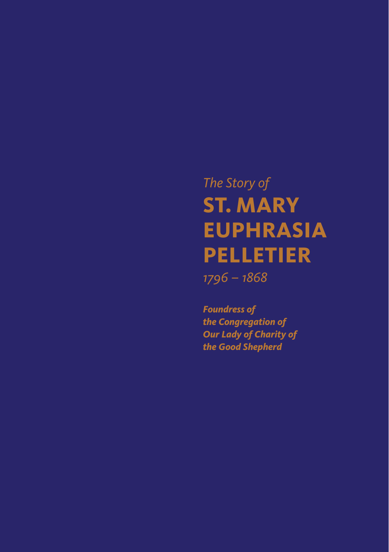# *The Story of* **St. Mary Euphrasia Pelletier**

*1796 – 1868*

*Foundress of the Congregation of Our Lady of Charity of the Good Shepherd*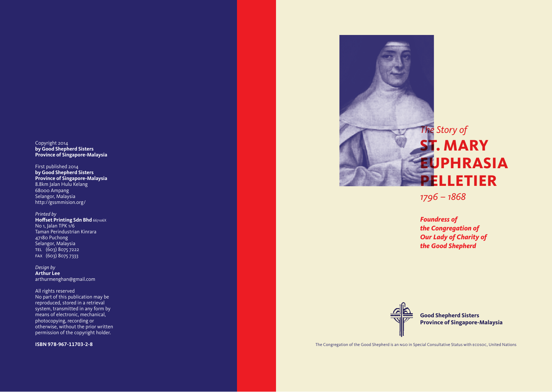### Copyright 2014 **by Good Shepherd Sisters Province of Singapore-Malaysia**

#### First published 2014

**by Good Shepherd Sisters Province of Singapore-Malaysia** 8.8km Jalan Hulu Kelang 68000 Ampang Selangor, Malaysia http://gssmmision.org/

*Printed by* **Hoffset Printing Sdn Bhd 667106X** No 1, Jalan TPK 1/6 Taman Perindustrian Kinrara 47180 Puchong Selangor, Malaysia tel (603) 8075 7222 fax (603) 8075 7333

*Design by* **Arthur Lee** arthurmenghan@gmail.com

All rights reserved

No part of this publication may be reproduced, stored in a retrieval system, transmitted in any form by means of electronic, mechanical, photocopying, recording or otherwise, without the prior written permission of the copyright holder.

**ISBN 978-967-11703-2-8**



*1796 – 1868*

*Foundress of the Congregation of Our Lady of Charity of the Good Shepherd*



**Good Shepherd Sisters Province of Singapore-Malaysia**

The Congregation of the Good Shepherd is an ngo in Special Consultative Status with ecosoc, United Nations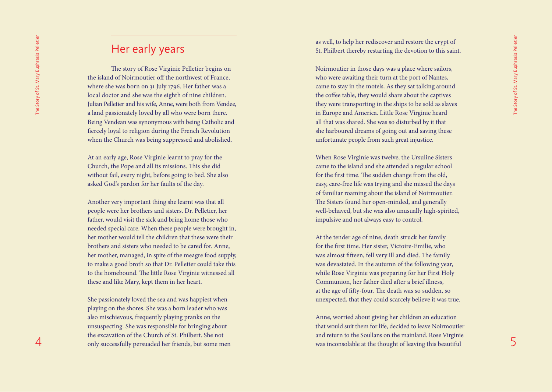# Her early years

The story of Rose Virginie Pelletier begins on the island of Noirmoutier off the northwest of France, where she was born on 31 July 1796. Her father was a local doctor and she was the eighth of nine children. Julian Pelletier and his wife, Anne, were both from Vendee, a land passionately loved by all who were born there. Being Vendean was synonymous with being Catholic and fiercely loyal to religion during the French Revolution when the Church was being suppressed and abolished.

At an early age, Rose Virginie learnt to pray for the Church, the Pope and all its missions. This she did without fail, every night, before going to bed. She also asked God's pardon for her faults of the day.

Another very important thing she learnt was that all people were her brothers and sisters. Dr. Pelletier, her father, would visit the sick and bring home those who needed special care. When these people were brought in, her mother would tell the children that these were their brothers and sisters who needed to be cared for. Anne, her mother, managed, in spite of the meagre food supply, to make a good broth so that Dr. Pelletier could take this to the homebound. The little Rose Virginie witnessed all these and like Mary, kept them in her heart.

She passionately loved the sea and was happiest when playing on the shores. She was a born leader who was also mischievous, frequently playing pranks on the unsuspecting. She was responsible for bringing about the excavation of the Church of St. Philbert. She not only successfully persuaded her friends, but some men as well, to help her rediscover and restore the crypt of St. Philbert thereby restarting the devotion to this saint.

Noirmoutier in those days was a place where sailors, who were awaiting their turn at the port of Nantes, came to stay in the motels. As they sat talking around the coffee table, they would share about the captives they were transporting in the ships to be sold as slaves in Europe and America. Little Rose Virginie heard all that was shared. She was so disturbed by it that she harboured dreams of going out and saving these unfortunate people from such great injustice.

When Rose Virginie was twelve, the Ursuline Sisters came to the island and she attended a regular school for the first time. The sudden change from the old, easy, care-free life was trying and she missed the days of familiar roaming about the island of Noirmoutier. The Sisters found her open-minded, and generally well-behaved, but she was also unusually high-spirited, impulsive and not always easy to control.

At the tender age of nine, death struck her family for the first time. Her sister, Victoire-Emilie, who was almost fifteen, fell very ill and died. The family was devastated. In the autumn of the following year, while Rose Virginie was preparing for her First Holy Communion, her father died after a brief illness, at the age of fifty-four. The death was so sudden, so unexpected, that they could scarcely believe it was true.

Anne, worried about giving her children an education that would suit them for life, decided to leave Noirmoutier and return to the Soullans on the mainland. Rose Virginie was inconsolable at the thought of leaving this beautiful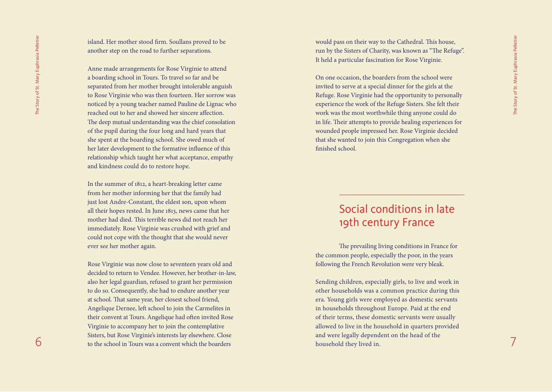island. Her mother stood firm. Soullans proved to be another step on the road to further separations.

Anne made arrangements for Rose Virginie to attend a boarding school in Tours. To travel so far and be separated from her mother brought intolerable anguish to Rose Virginie who was then fourteen. Her sorrow was noticed by a young teacher named Pauline de Lignac who reached out to her and showed her sincere affection. The deep mutual understanding was the chief consolation of the pupil during the four long and hard years that she spent at the boarding school. She owed much of her later development to the formative influence of this relationship which taught her what acceptance, empathy and kindness could do to restore hope.

In the summer of 1812, a heart-breaking letter came from her mother informing her that the family had just lost Andre-Constant, the eldest son, upon whom all their hopes rested. In June 1813, news came that her mother had died. This terrible news did not reach her immediately. Rose Virginie was crushed with grief and could not cope with the thought that she would never ever see her mother again.

Rose Virginie was now close to seventeen years old and decided to return to Vendee. However, her brother-in-law, also her legal guardian, refused to grant her permission to do so. Consequently, she had to endure another year at school. That same year, her closest school friend, Angelique Dernee, left school to join the Carmelites in their convent at Tours. Angelique had often invited Rose Virginie to accompany her to join the contemplative Sisters, but Rose Virginie's interests lay elsewhere. Close to the school in Tours was a convent which the boarders

would pass on their way to the Cathedral. This house, run by the Sisters of Charity, was known as "The Refuge". It held a particular fascination for Rose Virginie.

On one occasion, the boarders from the school were invited to serve at a special dinner for the girls at the Refuge. Rose Virginie had the opportunity to personally experience the work of the Refuge Sisters. She felt their work was the most worthwhile thing anyone could do in life. Their attempts to provide healing experiences for wounded people impressed her. Rose Virginie decided that she wanted to join this Congregation when she finished school.

## Social conditions in late 19th century France

The prevailing living conditions in France for the common people, especially the poor, in the years following the French Revolution were very bleak.

Sending children, especially girls, to live and work in other households was a common practice during this era. Young girls were employed as domestic servants in households throughout Europe. Paid at the end of their terms, these domestic servants were usually allowed to live in the household in quarters provided and were legally dependent on the head of the household they lived in.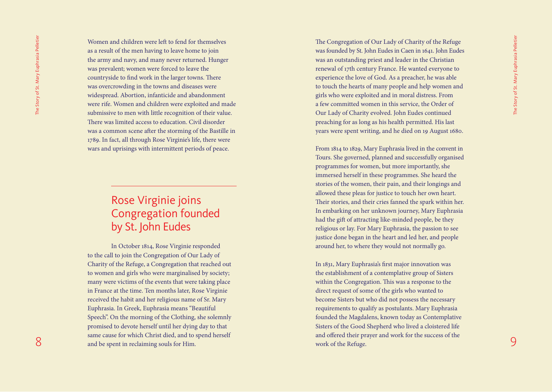Women and children were left to fend for themselves as a result of the men having to leave home to join the army and navy, and many never returned. Hunger was prevalent; women were forced to leave the countryside to find work in the larger towns. There was overcrowding in the towns and diseases were widespread. Abortion, infanticide and abandonment were rife. Women and children were exploited and made submissive to men with little recognition of their value. There was limited access to education. Civil disorder was a common scene after the storming of the Bastille in 1789. In fact, all through Rose Virginie's life, there were wars and uprisings with intermittent periods of peace.

# Rose Virginie joins Congregation founded by St. John Eudes

In October 1814, Rose Virginie responded to the call to join the Congregation of Our Lady of Charity of the Refuge, a Congregation that reached out to women and girls who were marginalised by society; many were victims of the events that were taking place in France at the time. Ten months later, Rose Virginie received the habit and her religious name of Sr. Mary Euphrasia. In Greek, Euphrasia means "Beautiful Speech". On the morning of the Clothing, she solemnly promised to devote herself until her dying day to that same cause for which Christ died, and to spend herself and be spent in reclaiming souls for Him.

The Congregation of Our Lady of Charity of the Refuge was founded by St. John Eudes in Caen in 1641. John Eudes was an outstanding priest and leader in the Christian renewal of 17th century France. He wanted everyone to experience the love of God. As a preacher, he was able to touch the hearts of many people and help women and girls who were exploited and in moral distress. From a few committed women in this service, the Order of Our Lady of Charity evolved. John Eudes continued preaching for as long as his health permitted. His last years were spent writing, and he died on 19 August 1680.

From 1814 to 1829, Mary Euphrasia lived in the convent in Tours. She governed, planned and successfully organised programmes for women, but more importantly, she immersed herself in these programmes. She heard the stories of the women, their pain, and their longings and allowed these pleas for justice to touch her own heart. Their stories, and their cries fanned the spark within her. In embarking on her unknown journey, Mary Euphrasia had the gift of attracting like-minded people, be they religious or lay. For Mary Euphrasia, the passion to see justice done began in the heart and led her, and people around her, to where they would not normally go.

In 1831, Mary Euphrasia's first major innovation was the establishment of a contemplative group of Sisters within the Congregation. This was a response to the direct request of some of the girls who wanted to become Sisters but who did not possess the necessary requirements to qualify as postulants. Mary Euphrasia founded the Magdalens, known today as Contemplative Sisters of the Good Shepherd who lived a cloistered life and offered their prayer and work for the success of the work of the Refuge.

The Story of St. Mary Euphrasia Pelletier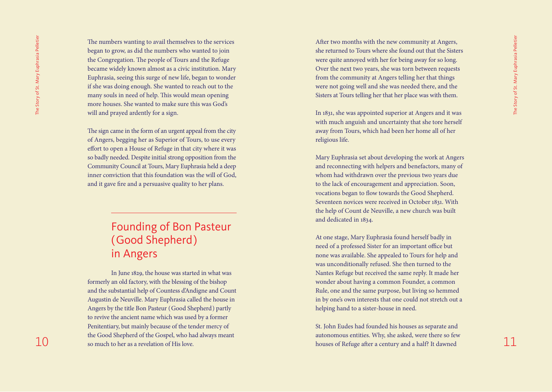The number south parameteris is not the two sets are not the story in the story of the story of the story of the story of the story of the story of the story of the story of the story of the story of the story of the stor The numbers wanting to avail themselves to the services began to grow, as did the numbers who wanted to join the Congregation. The people of Tours and the Refuge became widely known almost as a civic institution. Mary Euphrasia, seeing this surge of new life, began to wonder if she was doing enough. She wanted to reach out to the many souls in need of help. This would mean opening more houses. She wanted to make sure this was God's will and prayed ardently for a sign.

The sign came in the form of an urgent appeal from the city of Angers, begging her as Superior of Tours, to use every effort to open a House of Refuge in that city where it was so badly needed. Despite initial strong opposition from the Community Council at Tours, Mary Euphrasia held a deep inner conviction that this foundation was the will of God, and it gave fire and a persuasive quality to her plans.

# Founding of Bon Pasteur (Good Shepherd) in Angers

In June 1829, the house was started in what was formerly an old factory, with the blessing of the bishop and the substantial help of Countess d'Andigne and Count Augustin de Neuville. Mary Euphrasia called the house in Angers by the title Bon Pasteur (Good Shepherd) partly to revive the ancient name which was used by a former Penitentiary, but mainly because of the tender mercy of the Good Shepherd of the Gospel, who had always meant so much to her as a revelation of His love.

After two months with the new community at Angers, she returned to Tours where she found out that the Sisters were quite annoyed with her for being away for so long. Over the next two years, she was torn between requests from the community at Angers telling her that things were not going well and she was needed there, and the Sisters at Tours telling her that her place was with them.

In 1831, she was appointed superior at Angers and it was with much anguish and uncertainty that she tore herself away from Tours, which had been her home all of her religious life.

Mary Euphrasia set about developing the work at Angers and reconnecting with helpers and benefactors, many of whom had withdrawn over the previous two years due to the lack of encouragement and appreciation. Soon, vocations began to flow towards the Good Shepherd. Seventeen novices were received in October 1831. With the help of Count de Neuville, a new church was built and dedicated in 1834.

At one stage, Mary Euphrasia found herself badly in need of a professed Sister for an important office but none was available. She appealed to Tours for help and was unconditionally refused. She then turned to the Nantes Refuge but received the same reply. It made her wonder about having a common Founder, a common Rule, one and the same purpose, but living so hemmed in by one's own interests that one could not stretch out a helping hand to a sister-house in need.

St. John Eudes had founded his houses as separate and autonomous entities. Why, she asked, were there so few houses of Refuge after a century and a half? It dawned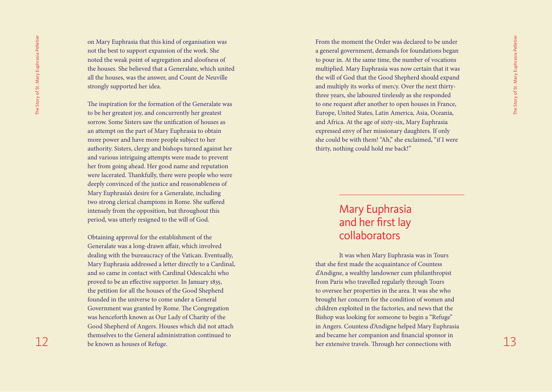on Mary Euphrasia that this kind of organisation was not the best to support expansion of the work. She noted the weak point of segregation and aloofness of the houses. She believed that a Generalate, which united all the houses, was the answer, and Count de Neuville strongly supported her idea.

on Mary Tophrasia Pelletier being des paradoxies and the weak of the store in the Christen states and the store of the store of the store of the store of the store of the store of the store of the store of the store of th The inspiration for the formation of the Generalate was to be her greatest joy, and concurrently her greatest sorrow. Some Sisters saw the unification of houses as an attempt on the part of Mary Euphrasia to obtain more power and have more people subject to her authority. Sisters, clergy and bishops turned against her and various intriguing attempts were made to prevent her from going ahead. Her good name and reputation were lacerated. Thankfully, there were people who were deeply convinced of the justice and reasonableness of Mary Euphrasia's desire for a Generalate, including two strong clerical champions in Rome. She suffered intensely from the opposition, but throughout this period, was utterly resigned to the will of God.

Obtaining approval for the establishment of the Generalate was a long-drawn affair, which involved dealing with the bureaucracy of the Vatican. Eventually, Mary Euphrasia addressed a letter directly to a Cardinal, and so came in contact with Cardinal Odescalchi who proved to be an effective supporter. In January 1835, the petition for all the houses of the Good Shepherd founded in the universe to come under a General Government was granted by Rome. The Congregation was henceforth known as Our Lady of Charity of the Good Shepherd of Angers. Houses which did not attach themselves to the General administration continued to be known as houses of Refuge.

From the moment the Order was declared to be under a general government, demands for foundations began to pour in. At the same time, the number of vocations multiplied. Mary Euphrasia was now certain that it was the will of God that the Good Shepherd should expand and multiply its works of mercy. Over the next thirtythree years, she laboured tirelessly as she responded to one request after another to open houses in France, Europe, United States, Latin America, Asia, Oceania, and Africa. At the age of sixty-six, Mary Euphrasia expressed envy of her missionary daughters. If only she could be with them! "Ah," she exclaimed, "if I were thirty, nothing could hold me back!"

# Mary Euphrasia and her first lay collaborators

It was when Mary Euphrasia was in Tours that she first made the acquaintance of Countess d'Andigne, a wealthy landowner cum philanthropist from Paris who travelled regularly through Tours to oversee her properties in the area. It was she who brought her concern for the condition of women and children exploited in the factories, and news that the Bishop was looking for someone to begin a "Refuge" in Angers. Countess d'Andigne helped Mary Euphrasia and became her companion and financial sponsor in her extensive travels. Through her connections with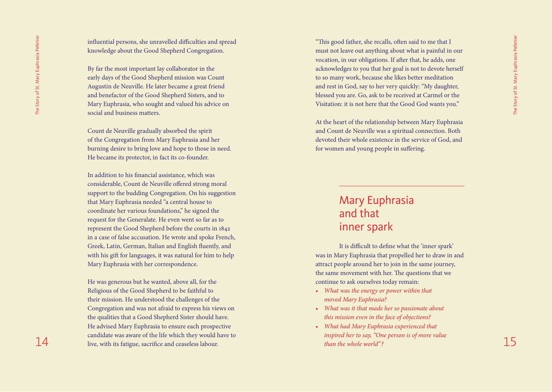influential persons, she unravelled difficulties and spread knowledge about the Good Shepherd Congregation.

By far the most important lay collaborator in the early days of the Good Shepherd mission was Count Augustin de Neuville. He later became a great friend and benefactor of the Good Shepherd Sisters, and to Mary Euphrasia, who sought and valued his advice on social and business matters.

Count de Neuville gradually absorbed the spirit of the Congregation from Mary Euphrasia and her burning desire to bring love and hope to those in need. He became its protector, in fact its co-founder.

14  $\frac{2}{3}$  interaction the conservation of the proof of the proof of the action of the store of the proof of the store of the store of the store of the store of the store of the store of the store of the store of the s In addition to his financial assistance, which was considerable, Count de Neuville offered strong moral support to the budding Congregation. On his suggestion that Mary Euphrasia needed "a central house to coordinate her various foundations," he signed the request for the Generalate. He even went so far as to represent the Good Shepherd before the courts in 1842 in a case of false accusation. He wrote and spoke French, Greek, Latin, German, Italian and English fluently, and with his gift for languages, it was natural for him to help Mary Euphrasia with her correspondence.

He was generous but he wanted, above all, for the Religious of the Good Shepherd to be faithful to their mission. He understood the challenges of the Congregation and was not afraid to express his views on the qualities that a Good Shepherd Sister should have. He advised Mary Euphrasia to ensure each prospective candidate was aware of the life which they would have to live, with its fatigue, sacrifice and ceaseless labour.

"This good father, she recalls, often said to me that I must not leave out anything about what is painful in our vocation, in our obligations. If after that, he adds, one acknowledges to you that her goal is not to devote herself to so many work, because she likes better meditation and rest in God, say to her very quickly: "My daughter, blessed you are. Go, ask to be received at Carmel or the Visitation: it is not here that the Good God wants you."

At the heart of the relationship between Mary Euphrasia and Count de Neuville was a spiritual connection. Both devoted their whole existence in the service of God, and for women and young people in suffering.

> Mary Euphrasia and that inner spark

It is difficult to define what the 'inner spark' was in Mary Euphrasia that propelled her to draw in and attract people around her to join in the same journey, the same movement with her. The questions that we continue to ask ourselves today remain:

- *• What was the energy or power within that moved Mary Euphrasia?*
- *• What was it that made her so passionate about this mission even in the face of objections?*
- *• What had Mary Euphrasia experienced that inspired her to say, "One person is of more value than the whole world" ?*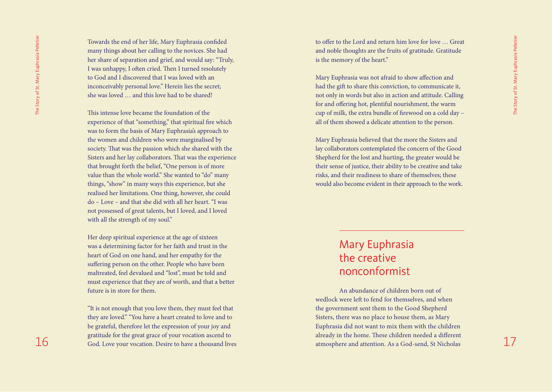Towards the end of her life, Mary Euphrasia confided many things about her calling to the novices. She had her share of separation and grief, and would say: "Truly, I was unhappy, I often cried. Then I turned resolutely to God and I discovered that I was loved with an inconceivably personal love." Herein lies the secret; she was loved … and this love had to be shared!

The mean of the first Mary Euphrasia are first Mary Euphrasia and the content in the one for the store of the store of the store of the store of the store of the store of the store of the store of the store of the store o This intense love became the foundation of the experience of that "something," that spiritual fire which was to form the basis of Mary Euphrasia's approach to the women and children who were marginalised by society. That was the passion which she shared with the Sisters and her lay collaborators. That was the experience that brought forth the belief, "One person is of more value than the whole world." She wanted to "do" many things, "show" in many ways this experience, but she realised her limitations. One thing, however, she could do – Love – and that she did with all her heart. "I was not possessed of great talents, but I loved, and I loved with all the strength of my soul."

Her deep spiritual experience at the age of sixteen was a determining factor for her faith and trust in the heart of God on one hand, and her empathy for the suffering person on the other. People who have been maltreated, feel devalued and "lost", must be told and must experience that they are of worth, and that a better future is in store for them.

"It is not enough that you love them, they must feel that they are loved." "You have a heart created to love and to be grateful, therefore let the expression of your joy and gratitude for the great grace of your vocation ascend to God. Love your vocation. Desire to have a thousand lives

to offer to the Lord and return him love for love … Great and noble thoughts are the fruits of gratitude. Gratitude is the memory of the heart."

Mary Euphrasia was not afraid to show affection and had the gift to share this conviction, to communicate it, not only in words but also in action and attitude. Calling for and offering hot, plentiful nourishment, the warm cup of milk, the extra bundle of firewood on a cold day – all of them showed a delicate attention to the person.

Mary Euphrasia believed that the more the Sisters and lay collaborators contemplated the concern of the Good Shepherd for the lost and hurting, the greater would be their sense of justice, their ability to be creative and take risks, and their readiness to share of themselves; these would also become evident in their approach to the work.

# Mary Euphrasia the creative nonconformist

An abundance of children born out of wedlock were left to fend for themselves, and when the government sent them to the Good Shepherd Sisters, there was no place to house them, as Mary Euphrasia did not want to mix them with the children already in the home. These children needed a different atmosphere and attention. As a God-send, St Nicholas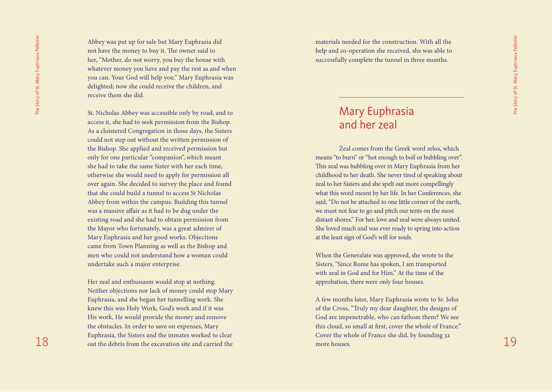Abbey was put up for sale but Mary Euphrasia did not have the money to buy it. The owner said to her, "Mother, do not worry, you buy the house with whatever money you have and pay the rest as and when you can. Your God will help you." Mary Euphrasia was delighted; now she could receive the children, and receive them she did.

As the story of the law Mary Furbonnes and the form is considered and of the constraints of the constraints of the constraints of the constraints of the constraints of the constraints of the constraints of the constraints St. Nicholas Abbey was accessible only by road, and to access it, she had to seek permission from the Bishop. As a cloistered Congregation in those days, the Sisters could not step out without the written permission of the Bishop. She applied and received permission but only for one particular "companion", which meant she had to take the same Sister with her each time, otherwise she would need to apply for permission all over again. She decided to survey the place and found that she could build a tunnel to access St Nicholas Abbey from within the campus. Building this tunnel was a massive affair as it had to be dug under the existing road and she had to obtain permission from the Mayor who fortunately, was a great admirer of Mary Euphrasia and her good works. Objections came from Town Planning as well as the Bishop and men who could not understand how a woman could undertake such a major enterprise.

Her zeal and enthusiasm would stop at nothing. Neither objections nor lack of money could stop Mary Euphrasia, and she began her tunnelling work. She knew this was Holy Work, God's work and if it was His work, He would provide the money and remove the obstacles. In order to save on expenses, Mary Euphrasia, the Sisters and the inmates worked to clear out the debris from the excavation site and carried the

materials needed for the construction. With all the help and co-operation she received, she was able to successfully complete the tunnel in three months.

## Mary Euphrasia and her zeal

Zeal comes from the Greek word zelos, which means "to burn" or "hot enough to boil or bubbling over". This zeal was bubbling over in Mary Euphrasia from her childhood to her death. She never tired of speaking about zeal to her Sisters and she spelt out more compellingly what this word meant by her life. In her Conferences, she said, "Do not be attached to one little corner of the earth, we must not fear to go and pitch our tents on the most distant shores." For her, love and zeal were always united. She loved much and was ever ready to spring into action at the least sign of God's will for souls.

When the Generalate was approved, she wrote to the Sisters, "Since Rome has spoken, I am transported with zeal in God and for Him." At the time of the approbation, there were only four houses.

A few months later, Mary Euphrasia wrote to Sr. John of the Cross, "Truly my dear daughter, the designs of God are impenetrable, who can fathom them? We see this cloud, so small at first, cover the whole of France." Cover the whole of France she did, by founding 32 more houses.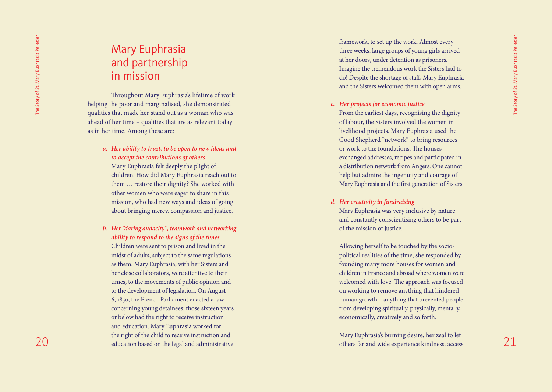# Mary Euphrasia and partnership in mission

Throughout Mary Euphrasia's lifetime of work helping the poor and marginalised, she demonstrated qualities that made her stand out as a woman who was ahead of her time – qualities that are as relevant today as in her time. Among these are:

- *a. Her ability to trust, to be open to new ideas and to accept the contributions of others*  Mary Euphrasia felt deeply the plight of children. How did Mary Euphrasia reach out to them … restore their dignity? She worked with other women who were eager to share in this mission, who had new ways and ideas of going about bringing mercy, compassion and justice.
- Mary Euphrasia and the evok, to actual expressed value of the story is the story of the story of the story of the story of the story of the story of the story of the story of the story of the story of the story of the sto *b. Her "daring audacity", teamwork and networking ability to respond to the signs of the times* Children were sent to prison and lived in the midst of adults, subject to the same regulations as them. Mary Euphrasia, with her Sisters and her close collaborators, were attentive to their times, to the movements of public opinion and to the development of legislation. On August 6, 1850, the French Parliament enacted a law concerning young detainees: those sixteen years or below had the right to receive instruction and education. Mary Euphrasia worked for the right of the child to receive instruction and education based on the legal and administrative

framework, to set up the work. Almost every three weeks, large groups of young girls arrived at her doors, under detention as prisoners. Imagine the tremendous work the Sisters had to do! Despite the shortage of staff, Mary Euphrasia and the Sisters welcomed them with open arms.

### *c. Her projects for economic justice*

From the earliest days, recognising the dignity of labour, the Sisters involved the women in livelihood projects. Mary Euphrasia used the Good Shepherd "network" to bring resources or work to the foundations. The houses exchanged addresses, recipes and participated in a distribution network from Angers. One cannot help but admire the ingenuity and courage of Mary Euphrasia and the first generation of Sisters.

### *d. Her creativity in fundraising*

Mary Euphrasia was very inclusive by nature and constantly conscientising others to be part of the mission of justice.

Allowing herself to be touched by the sociopolitical realities of the time, she responded by founding many more houses for women and children in France and abroad where women were welcomed with love. The approach was focused on working to remove anything that hindered human growth – anything that prevented people from developing spiritually, physically, mentally, economically, creatively and so forth.

Mary Euphrasia's burning desire, her zeal to let others far and wide experience kindness, access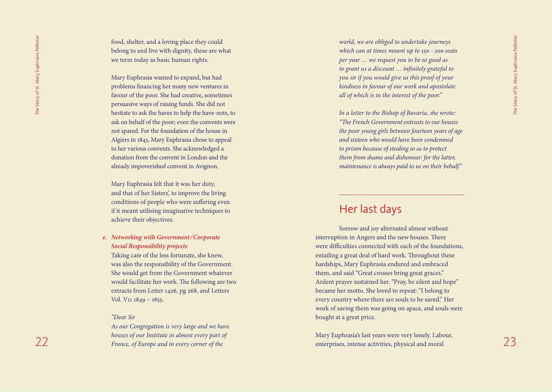food, shelter, and a loving place they could belong to and live with dignity, these are what we term today as basic human rights.

Mary Euphrasia wanted to expand, but had problems financing her many new ventures in favour of the poor. She had creative, sometimes persuasive ways of raising funds. She did not hesitate to ask the haves to help the have-nots, to ask on behalf of the poor; even the convents were not spared. For the foundation of the house in Algiers in 1843, Mary Euphrasia chose to appeal to her various convents. She acknowledged a donation from the convent in London and the already impoverished convent in Avignon.

Mary Euphrasia felt that it was her duty, and that of her Sisters', to improve the living conditions of people who were suffering even if it meant utilising imaginative techniques to achieve their objectives.

### *e. Networking with Government/Corporate Social Responsibility projects*

Taking care of the less fortunate, she knew, was also the responsibility of the Government. She would get from the Government whatever would facilitate her work. The following are two extracts from Letter 1426, pg 268, and Letters Vol. V11 1849 – 1855.

### *"Dear Sir*

*As our Congregation is very large and we have houses of our Institute in almost every part of France, of Europe and in every corner of the*

*world, we are obliged to undertake journeys which can at times mount up to 150 - 200 seats per year … we request you to be so good as to grant us a discount … infinitely grateful to you sir if you would give us this proof of your kindness in favour of our work and apostolate all of which is in the interest of the poor."*

*In a letter to the Bishop of Bavaria, she wrote: "The French Government entrusts to our houses the poor young girls between fourteen years of age and sixteen who would have been condemned to prison because of stealing so as to protect them from shame and dishonour: for the latter, maintenance is always paid to us on their behalf."*

### Her last days

be detecting and the results and the presentation of the probability the story of the story of the story of the story of the story of the story of the story of the story of the story of the story of the story of the story Sorrow and joy alternated almost without interruption in Angers and the new houses. There were difficulties connected with each of the foundations, entailing a great deal of hard work. Throughout these hardships, Mary Euphrasia endured and embraced them, and said "Great crosses bring great graces." Ardent prayer sustained her. "Pray, be silent and hope" became her motto. She loved to repeat: "I belong to every country where there are souls to be saved." Her work of saving them was going on apace, and souls were bought at a great price.

Mary Euphrasia's last years were very lonely. Labour, enterprises, intense activities, physical and moral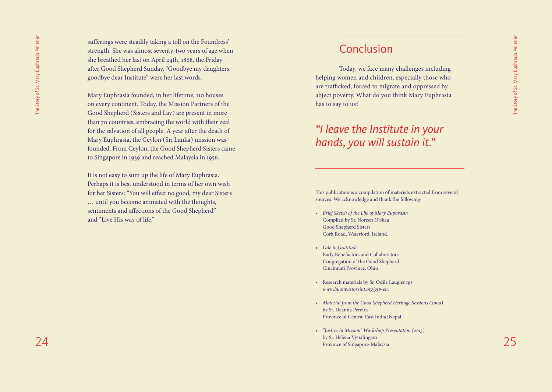sufferings were steadily taking a toll on the Foundress' strength. She was almost seventy-two years of age when she breathed her last on April 24th, 1868, the Friday after Good Shepherd Sunday. "Goodbye my daughters, goodbye dear Institute" were her last words.

aftering wave factor) which gives by the formulations of the formulations of the story of the story of the story of the story of the story of the story of the story of the story of the story of the story of the story of t Mary Euphrasia founded, in her lifetime, 110 houses on every continent. Today, the Mission Partners of the Good Shepherd (Sisters and Lay) are present in more than 70 countries, embracing the world with their zeal for the salvation of all people. A year after the death of Mary Euphrasia, the Ceylon (Sri Lanka) mission was founded. From Ceylon, the Good Shepherd Sisters came to Singapore in 1939 and reached Malaysia in 1956.

It is not easy to sum up the life of Mary Euphrasia. Perhaps it is best understood in terms of her own wish for her Sisters: "You will effect no good, my dear Sisters … until you become animated with the thoughts, sentiments and affections of the Good Shepherd" and "Live His way of life."

# Conclusion

Today, we face many challenges including helping women and children, especially those who are trafficked, forced to migrate and oppressed by abject poverty. What do you think Mary Euphrasia has to say to us?

# *"I leave the Institute in your hands, you will sustain it . "*

This publication is a compilation of materials extracted from several sources. We acknowledge and thank the following:

- *• Brief Sketch of the Life of Mary Euphrasia* Complied by Sr. Noreen O'Shea Good Shepherd Sisters Cork Road, Waterford, Ireland.
- *• Ode to Gratitude* Early Benefactors and Collaborators Congregation of the Good Shepherd Cincinnati Province, Ohio
- *•* Research materials by Sr. Odile Laugier rgs  *www.buonpastoreint.org/gsp-en.*
- *• Material from the Good Shepherd Heritage Sessions (2009)* by Sr. Deanna Pereira Province of Central East India/Nepal
- *• "Justice In Mission" Workshop Presentation (2013)* by Sr. Helena Vytialingam Province of Singapore-Malaysia